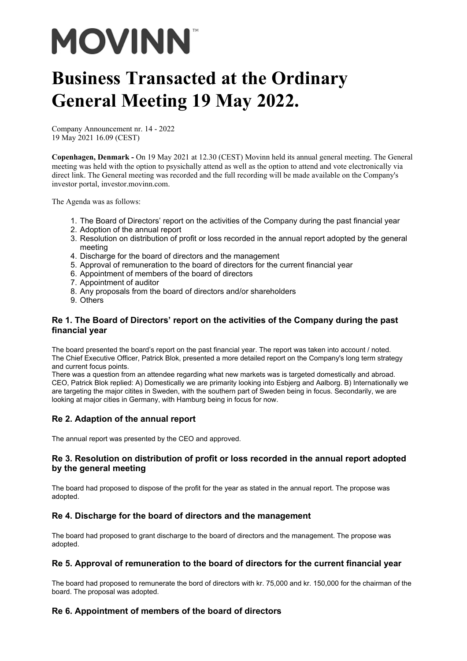# **MOVINN**

# **Business Transacted at the Ordinary General Meeting 19 May 2022.**

Company Announcement nr. 14 - 2022 19 May 2021 16.09 (CEST)

**Copenhagen, Denmark -** On 19 May 2021 at 12.30 (CEST) Movinn held its annual general meeting. The General meeting was held with the option to psysichally attend as well as the option to attend and vote electronically via direct link. The General meeting was recorded and the full recording will be made available on the Company's investor portal, investor.movinn.com.

The Agenda was as follows:

- 1. The Board of Directors' report on the activities of the Company during the past financial year
- 2. Adoption of the annual report
- 3. Resolution on distribution of profit or loss recorded in the annual report adopted by the general meeting
- 4. Discharge for the board of directors and the management
- 5. Approval of remuneration to the board of directors for the current financial year
- 6. Appointment of members of the board of directors
- 7. Appointment of auditor
- 8. Any proposals from the board of directors and/or shareholders
- 9. Others

#### **Re 1. The Board of Directors' report on the activities of the Company during the past financial year**

The board presented the board's report on the past financial year. The report was taken into account / noted. The Chief Executive Officer, Patrick Blok, presented a more detailed report on the Company's long term strategy and current focus points.

There was a question from an attendee regarding what new markets was is targeted domestically and abroad. CEO, Patrick Blok replied: A) Domestically we are primarity looking into Esbjerg and Aalborg. B) Internationally we are targeting the major citites in Sweden, with the southern part of Sweden being in focus. Secondarily, we are looking at major cities in Germany, with Hamburg being in focus for now.

# **Re 2. Adaption of the annual report**

The annual report was presented by the CEO and approved.

#### **Re 3. Resolution on distribution of profit or loss recorded in the annual report adopted by the general meeting**

The board had proposed to dispose of the profit for the year as stated in the annual report. The propose was adopted.

# **Re 4. Discharge for the board of directors and the management**

The board had proposed to grant discharge to the board of directors and the management. The propose was adopted.

# **Re 5. Approval of remuneration to the board of directors for the current financial year**

The board had proposed to remunerate the bord of directors with kr. 75,000 and kr. 150,000 for the chairman of the board. The proposal was adopted.

# **Re 6. Appointment of members of the board of directors**